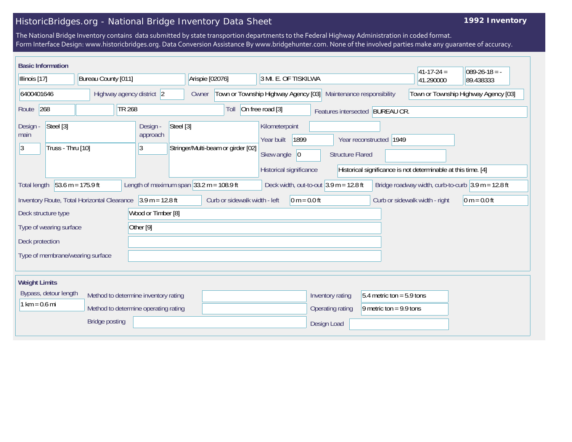## HistoricBridges.org - National Bridge Inventory Data Sheet

## **1992 Inventory**

The National Bridge Inventory contains data submitted by state transportion departments to the Federal Highway Administration in coded format. Form Interface Design: www.historicbridges.org. Data Conversion Assistance By www.bridgehunter.com. None of the involved parties make any guarantee of accuracy.

| <b>Basic Information</b>                                           |                                                                     |                                                                             |                                            |                                                          |                         |                                 |                                                               |                                                                        |
|--------------------------------------------------------------------|---------------------------------------------------------------------|-----------------------------------------------------------------------------|--------------------------------------------|----------------------------------------------------------|-------------------------|---------------------------------|---------------------------------------------------------------|------------------------------------------------------------------------|
| Bureau County [011]<br>Illinois [17]                               |                                                                     |                                                                             | Arispie [02076]                            | 3 MI. E. OF TISKILWA                                     |                         |                                 | $ 41-17-24 $ =<br>41.290000                                   | $089-26-18 = -$<br>89.438333                                           |
| 6400401646<br>Highway agency district 2                            |                                                                     | Town or Township Highway Agency [03]<br>Maintenance responsibility<br>Owner |                                            | Town or Township Highway Agency [03]                     |                         |                                 |                                                               |                                                                        |
| 268<br>Route                                                       | <b>TR 268</b>                                                       |                                                                             |                                            | On free road [3]                                         |                         | Features intersected BUREAU CR. |                                                               |                                                                        |
| Steel [3]<br>Design -<br>main<br>Truss - Thru [10]<br><sup>3</sup> |                                                                     | Steel [3]<br>Design -<br>approach<br>$ 3\rangle$                            | Stringer/Multi-beam or girder [02]         | Kilometerpoint<br>1899<br>Year built<br>Skew angle<br> 0 | <b>Structure Flared</b> | Year reconstructed 1949         |                                                               |                                                                        |
|                                                                    |                                                                     |                                                                             |                                            | Historical significance                                  |                         |                                 | Historical significance is not determinable at this time. [4] |                                                                        |
| Total length                                                       | $53.6 m = 175.9 ft$                                                 |                                                                             | Length of maximum span $33.2$ m = 108.9 ft | Deck width, out-to-out $3.9$ m = 12.8 ft                 |                         |                                 |                                                               | Bridge roadway width, curb-to-curb $ 3.9 \text{ m} = 12.8 \text{ ft} $ |
|                                                                    | Inventory Route, Total Horizontal Clearance $\vert$ 3.9 m = 12.8 ft |                                                                             | Curb or sidewalk width - left              | $0 m = 0.0 ft$                                           |                         |                                 | Curb or sidewalk width - right                                | $ 0 m = 0.0 ft$                                                        |
| Deck structure type                                                |                                                                     | Wood or Timber [8]                                                          |                                            |                                                          |                         |                                 |                                                               |                                                                        |
| Type of wearing surface                                            |                                                                     | Other <sup>[9]</sup>                                                        |                                            |                                                          |                         |                                 |                                                               |                                                                        |
| Deck protection                                                    |                                                                     |                                                                             |                                            |                                                          |                         |                                 |                                                               |                                                                        |
| Type of membrane/wearing surface                                   |                                                                     |                                                                             |                                            |                                                          |                         |                                 |                                                               |                                                                        |
| <b>Weight Limits</b>                                               |                                                                     |                                                                             |                                            |                                                          |                         |                                 |                                                               |                                                                        |
| Bypass, detour length                                              |                                                                     | Method to determine inventory rating                                        |                                            |                                                          | Inventory rating        | $5.4$ metric ton = 5.9 tons     |                                                               |                                                                        |
| $1 km = 0.6 mi$<br>Method to determine operating rating            |                                                                     |                                                                             |                                            |                                                          | Operating rating        | 9 metric ton = $9.9$ tons       |                                                               |                                                                        |
|                                                                    | <b>Bridge posting</b>                                               |                                                                             |                                            |                                                          | Design Load             |                                 |                                                               |                                                                        |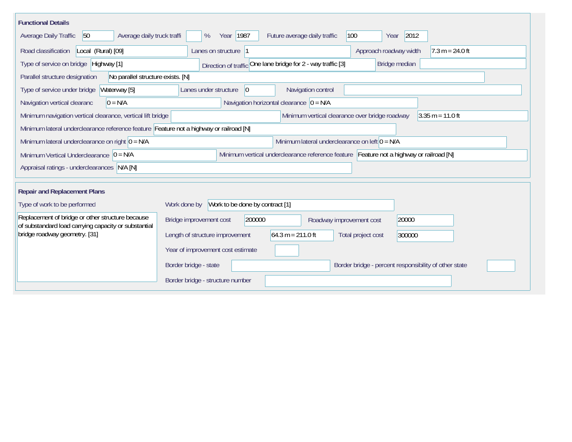| <b>Functional Details</b>                                                                                |                                                                                         |
|----------------------------------------------------------------------------------------------------------|-----------------------------------------------------------------------------------------|
| 50<br>Average daily truck traffi<br>Average Daily Traffic                                                | 2012<br>Year 1987<br>100<br>Future average daily traffic<br>%<br>Year                   |
| Road classification<br>Local (Rural) [09]                                                                | Approach roadway width<br>Lanes on structure  1<br>$7.3 m = 24.0 ft$                    |
| Type of service on bridge Highway [1]                                                                    | Direction of traffic One lane bridge for 2 - way traffic [3]<br>Bridge median           |
| No parallel structure exists. [N]<br>Parallel structure designation                                      |                                                                                         |
| Type of service under bridge<br>Waterway [5]                                                             | Navigation control<br>$ 0\rangle$<br>Lanes under structure                              |
| $0 = N/A$<br>Navigation vertical clearanc                                                                | Navigation horizontal clearance $ 0 = N/A$                                              |
| Minimum navigation vertical clearance, vertical lift bridge                                              | Minimum vertical clearance over bridge roadway<br>$3.35 m = 11.0 ft$                    |
| Minimum lateral underclearance reference feature Feature not a highway or railroad [N]                   |                                                                                         |
| Minimum lateral underclearance on right $0 = N/A$                                                        | Minimum lateral underclearance on left $0 = N/A$                                        |
| Minimum Vertical Underclearance $ 0 = N/A$                                                               | Minimum vertical underclearance reference feature Feature not a highway or railroad [N] |
| Appraisal ratings - underclearances N/A [N]                                                              |                                                                                         |
|                                                                                                          |                                                                                         |
| <b>Repair and Replacement Plans</b>                                                                      |                                                                                         |
| Type of work to be performed                                                                             | Work to be done by contract [1]<br>Work done by                                         |
| Replacement of bridge or other structure because<br>of substandard load carrying capacity or substantial | 200000<br>Bridge improvement cost<br>20000<br>Roadway improvement cost                  |
| bridge roadway geometry. [31]                                                                            | $64.3 m = 211.0 ft$<br>Length of structure improvement<br>Total project cost<br>300000  |
|                                                                                                          | Year of improvement cost estimate                                                       |
|                                                                                                          | Border bridge - state<br>Border bridge - percent responsibility of other state          |
|                                                                                                          | Border bridge - structure number                                                        |